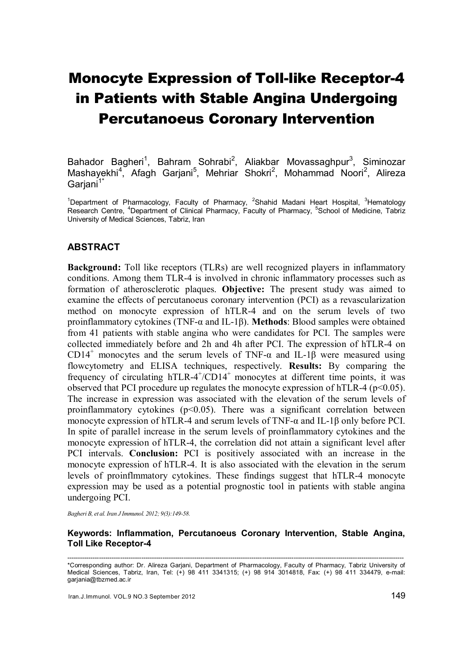# Monocyte Expression of Toll-like Receptor-4 in Patients with Stable Angina Undergoing Percutanoeus Coronary Intervention

Bahador Bagheri<sup>1</sup>, Bahram Sohrabi<sup>2</sup>, Aliakbar Movassaghpur<sup>3</sup>, Siminozar Mashayekhi<sup>4</sup>, Afagh Garjani<sup>5</sup>, Mehriar Shokri<sup>2</sup>, Mohammad Noori<sup>2</sup>, Alireza Gariani<sup>1</sup>

<sup>1</sup>Department of Pharmacology, Faculty of Pharmacy, <sup>2</sup>Shahid Madani Heart Hospital, <sup>3</sup>Hematology Research Centre, <sup>4</sup>Department of Clinical Pharmacy, Faculty of Pharmacy, <sup>5</sup>School of Medicine, Tabriz University of Medical Sciences, Tabriz, Iran

# **ABSTRACT**

Background: Toll like receptors (TLRs) are well recognized players in inflammatory conditions. Among them TLR-4 is involved in chronic inflammatory processes such as formation of atherosclerotic plaques. Objective: The present study was aimed to examine the effects of percutanoeus coronary intervention (PCI) as a revascularization method on monocyte expression of hTLR-4 and on the serum levels of two proinflammatory cytokines (TNF- $\alpha$  and IL-1 $\beta$ ). Methods: Blood samples were obtained from 41 patients with stable angina who were candidates for PCI. The samples were collected immediately before and 2h and 4h after PCI. The expression of hTLR-4 on CD14<sup>+</sup> monocytes and the serum levels of TNF- $\alpha$  and IL-1 $\beta$  were measured using flowcytometry and ELISA techniques, respectively. Results: By comparing the frequency of circulating hTLR-4<sup>+</sup>/CD14<sup>+</sup> monocytes at different time points, it was observed that PCI procedure up regulates the monocyte expression of hTLR-4 ( $p<0.05$ ). The increase in expression was associated with the elevation of the serum levels of proinflammatory cytokines  $(p<0.05)$ . There was a significant correlation between monocyte expression of hTLR-4 and serum levels of TNF-α and IL-1β only before PCI. In spite of parallel increase in the serum levels of proinflammatory cytokines and the monocyte expression of hTLR-4, the correlation did not attain a significant level after PCI intervals. Conclusion: PCI is positively associated with an increase in the monocyte expression of hTLR-4. It is also associated with the elevation in the serum levels of proinflmmatory cytokines. These findings suggest that hTLR-4 monocyte expression may be used as a potential prognostic tool in patients with stable angina undergoing PCI.

*Bagheri B, et al. Iran J Immunol. 2012; 9(3):149-58.*

### Keywords: Inflammation, Percutanoeus Coronary Intervention, Stable Angina, Toll Like Receptor-4

--------------------------------------------------------------------------------------------------------------------------------------------------------------- \*Corresponding author: Dr. Alireza Garjani, Department of Pharmacology, Faculty of Pharmacy, Tabriz University of Medical Sciences, Tabriz, Iran, Tel: (+) 98 411 3341315; (+) 98 914 3014818, Fax: (+) 98 411 334479, e-mail: garjania@tbzmed.ac.ir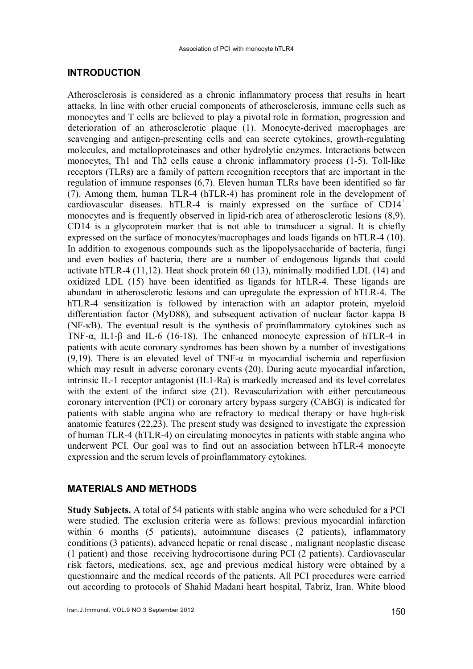### INTRODUCTION

Atherosclerosis is considered as a chronic inflammatory process that results in heart attacks. In line with other crucial components of atherosclerosis, immune cells such as monocytes and T cells are believed to play a pivotal role in formation, progression and deterioration of an atherosclerotic plaque (1). Monocyte-derived macrophages are scavenging and antigen-presenting cells and can secrete cytokines, growth-regulating molecules, and metalloproteinases and other hydrolytic enzymes. Interactions between monocytes, Th1 and Th2 cells cause a chronic inflammatory process (1-5). Toll-like receptors (TLRs) are a family of pattern recognition receptors that are important in the regulation of immune responses (6,7). Eleven human TLRs have been identified so far (7). Among them, human TLR-4 (hTLR-4) has prominent role in the development of cardiovascular diseases. hTLR-4 is mainly expressed on the surface of CD14<sup>+</sup> monocytes and is frequently observed in lipid-rich area of atherosclerotic lesions (8,9). CD14 is a glycoprotein marker that is not able to transducer a signal. It is chiefly expressed on the surface of monocytes/macrophages and loads ligands on hTLR-4 (10). In addition to exogenous compounds such as the lipopolysaccharide of bacteria, fungi and even bodies of bacteria, there are a number of endogenous ligands that could activate hTLR-4 (11,12). Heat shock protein 60 (13), minimally modified LDL (14) and oxidized LDL (15) have been identified as ligands for hTLR-4. These ligands are abundant in atherosclerotic lesions and can upregulate the expression of hTLR-4. The hTLR-4 sensitization is followed by interaction with an adaptor protein, myeloid differentiation factor (MyD88), and subsequent activation of nuclear factor kappa B (NF-κB). The eventual result is the synthesis of proinflammatory cytokines such as TNF- $\alpha$ , IL1- $\beta$  and IL-6 (16-18). The enhanced monocyte expression of hTLR-4 in patients with acute coronary syndromes has been shown by a number of investigations (9,19). There is an elevated level of TNF- $\alpha$  in myocardial ischemia and reperfusion which may result in adverse coronary events (20). During acute myocardial infarction, intrinsic IL-1 receptor antagonist (IL1-Ra) is markedly increased and its level correlates with the extent of the infarct size (21). Revascularization with either percutaneous coronary intervention (PCI) or coronary artery bypass surgery (CABG) is indicated for patients with stable angina who are refractory to medical therapy or have high-risk anatomic features (22,23). The present study was designed to investigate the expression of human TLR-4 (hTLR-4) on circulating monocytes in patients with stable angina who underwent PCI. Our goal was to find out an association between hTLR-4 monocyte expression and the serum levels of proinflammatory cytokines.

### MATERIALS AND METHODS

Study Subjects. A total of 54 patients with stable angina who were scheduled for a PCI were studied. The exclusion criteria were as follows: previous myocardial infarction within 6 months (5 patients), autoimmune diseases (2 patients), inflammatory conditions (3 patients), advanced hepatic or renal disease , malignant neoplastic disease (1 patient) and those receiving hydrocortisone during PCI (2 patients). Cardiovascular risk factors, medications, sex, age and previous medical history were obtained by a questionnaire and the medical records of the patients. All PCI procedures were carried out according to protocols of Shahid Madani heart hospital, Tabriz, Iran. White blood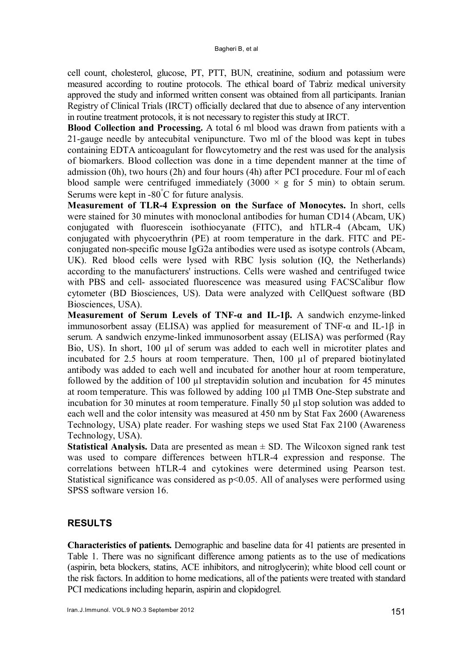cell count, cholesterol, glucose, PT, PTT, BUN, creatinine, sodium and potassium were measured according to routine protocols. The ethical board of Tabriz medical university approved the study and informed written consent was obtained from all participants. Iranian Registry of Clinical Trials (IRCT) officially declared that due to absence of any intervention in routine treatment protocols, it is not necessary to register this study at IRCT.

Blood Collection and Processing. A total 6 ml blood was drawn from patients with a 21-gauge needle by antecubital venipuncture. Two ml of the blood was kept in tubes containing EDTA anticoagulant for flowcytometry and the rest was used for the analysis of biomarkers. Blood collection was done in a time dependent manner at the time of admission (0h), two hours (2h) and four hours (4h) after PCI procedure. Four ml of each blood sample were centrifuged immediately  $(3000 \times g$  for 5 min) to obtain serum. Serums were kept in -80°C for future analysis.

Measurement of TLR-4 Expression on the Surface of Monocytes. In short, cells were stained for 30 minutes with monoclonal antibodies for human CD14 (Abcam, UK) conjugated with fluorescein isothiocyanate (FITC), and hTLR-4 (Abcam, UK) conjugated with phycoerythrin (PE) at room temperature in the dark. FITC and PEconjugated non-specific mouse IgG2a antibodies were used as isotype controls (Abcam, UK). Red blood cells were lysed with RBC lysis solution (IQ, the Netherlands) according to the manufacturers' instructions. Cells were washed and centrifuged twice with PBS and cell- associated fluorescence was measured using FACSCalibur flow cytometer (BD Biosciences, US). Data were analyzed with CellQuest software (BD Biosciences, USA).

Measurement of Serum Levels of TNF-α and IL-1β. A sandwich enzyme-linked immunosorbent assay (ELISA) was applied for measurement of TNF- $\alpha$  and IL-1 $\beta$  in serum. A sandwich enzyme-linked immunosorbent assay (ELISA) was performed (Ray Bio, US). In short, 100 µl of serum was added to each well in microtiter plates and incubated for 2.5 hours at room temperature. Then, 100 µl of prepared biotinylated antibody was added to each well and incubated for another hour at room temperature, followed by the addition of 100  $\mu$ l streptavidin solution and incubation for 45 minutes at room temperature. This was followed by adding 100 µl TMB One-Step substrate and incubation for 30 minutes at room temperature. Finally 50 µl stop solution was added to each well and the color intensity was measured at 450 nm by Stat Fax 2600 (Awareness Technology, USA) plate reader. For washing steps we used Stat Fax 2100 (Awareness Technology, USA).

**Statistical Analysis.** Data are presented as mean  $\pm$  SD. The Wilcoxon signed rank test was used to compare differences between hTLR-4 expression and response. The correlations between hTLR-4 and cytokines were determined using Pearson test. Statistical significance was considered as p<0.05. All of analyses were performed using SPSS software version 16.

# RESULTS

Characteristics of patients. Demographic and baseline data for 41 patients are presented in Table 1. There was no significant difference among patients as to the use of medications (aspirin, beta blockers, statins, ACE inhibitors, and nitroglycerin); white blood cell count or the risk factors. In addition to home medications, all of the patients were treated with standard PCI medications including heparin, aspirin and clopidogrel.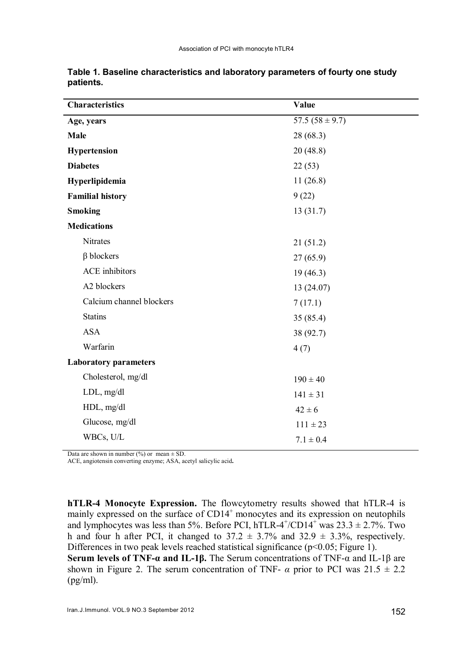| <b>Characteristics</b>       | Value               |  |
|------------------------------|---------------------|--|
| Age, years                   | 57.5 $(58 \pm 9.7)$ |  |
| <b>Male</b>                  | 28 (68.3)           |  |
| Hypertension                 | 20(48.8)            |  |
| <b>Diabetes</b>              | 22(53)              |  |
| Hyperlipidemia               | 11(26.8)            |  |
| <b>Familial history</b>      | 9(22)               |  |
| <b>Smoking</b>               | 13(31.7)            |  |
| <b>Medications</b>           |                     |  |
| Nitrates                     | 21(51.2)            |  |
| $\beta$ blockers             | 27(65.9)            |  |
| <b>ACE</b> inhibitors        | 19(46.3)            |  |
| A2 blockers                  | 13(24.07)           |  |
| Calcium channel blockers     | 7(17.1)             |  |
| <b>Statins</b>               | 35(85.4)            |  |
| <b>ASA</b>                   | 38 (92.7)           |  |
| Warfarin                     | 4(7)                |  |
| <b>Laboratory parameters</b> |                     |  |
| Cholesterol, mg/dl           | $190 \pm 40$        |  |
| $LDL$ , mg/dl                | $141 \pm 31$        |  |
| HDL, mg/dl                   | $42 \pm 6$          |  |
| Glucose, mg/dl               | $111 \pm 23$        |  |
| WBCs, U/L                    | $7.1 \pm 0.4$       |  |

Table 1. Baseline characteristics and laboratory parameters of fourty one study patients.

Data are shown in number (%) or mean  $\pm$  SD.

ACE, angiotensin converting enzyme; ASA, acetyl salicylic acid.

hTLR-4 Monocyte Expression. The flowcytometry results showed that hTLR-4 is mainly expressed on the surface of  $CD14<sup>+</sup>$  monocytes and its expression on neutophils and lymphocytes was less than 5%. Before PCI, hTLR-4<sup>+</sup>/CD14<sup>+</sup> was  $23.3 \pm 2.7$ %. Two h and four h after PCI, it changed to  $37.2 \pm 3.7\%$  and  $32.9 \pm 3.3\%$ , respectively. Differences in two peak levels reached statistical significance (p<0.05; Figure 1).

Serum levels of TNF- $\alpha$  and IL-1β. The Serum concentrations of TNF- $\alpha$  and IL-1β are shown in Figure 2. The serum concentration of TNF-  $\alpha$  prior to PCI was  $21.5 \pm 2.2$  $(pg/ml)$ .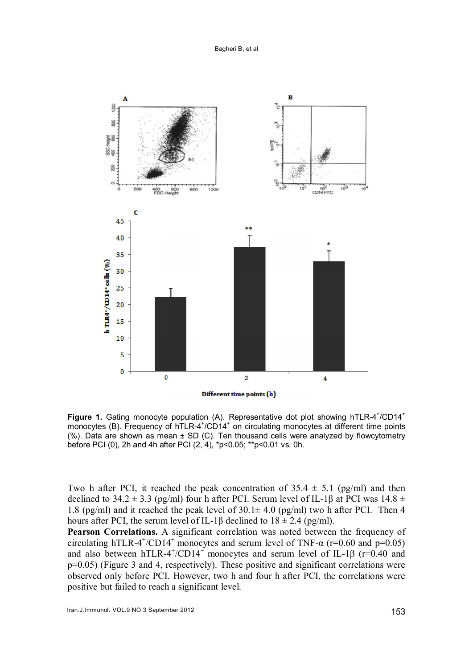

Figure 1. Gating monocyte population (A). Representative dot plot showing hTLR-4<sup>+</sup>/CD14<sup>+</sup> monocytes (B). Frequency of hTLR-4<sup>+</sup>/CD14<sup>+</sup> on circulating monocytes at different time points (%). Data are shown as mean ± SD (C). Ten thousand cells were analyzed by flowcytometry before PCI (0), 2h and 4h after PCI (2, 4), \*p<0.05; \*\*p<0.01 vs. 0h.

Two h after PCI, it reached the peak concentration of  $35.4 \pm 5.1$  (pg/ml) and then declined to 34.2  $\pm$  3.3 (pg/ml) four h after PCI. Serum level of IL-1 $\beta$  at PCI was 14.8  $\pm$ 1.8 (pg/ml) and it reached the peak level of  $30.1 \pm 4.0$  (pg/ml) two h after PCI. Then 4 hours after PCI, the serum level of IL-1β declined to  $18 \pm 2.4$  (pg/ml).

Pearson Correlations. A significant correlation was noted between the frequency of circulating hTLR-4<sup>+</sup>/CD14<sup>+</sup> monocytes and serum level of TNF- $\alpha$  (r=0.60 and p=0.05) and also between hTLR-4<sup>+</sup>/CD14<sup>+</sup> monocytes and serum level of IL-1 $\beta$  (r=0.40 and p=0.05) (Figure 3 and 4, respectively). These positive and significant correlations were observed only before PCI. However, two h and four h after PCI, the correlations were positive but failed to reach a significant level.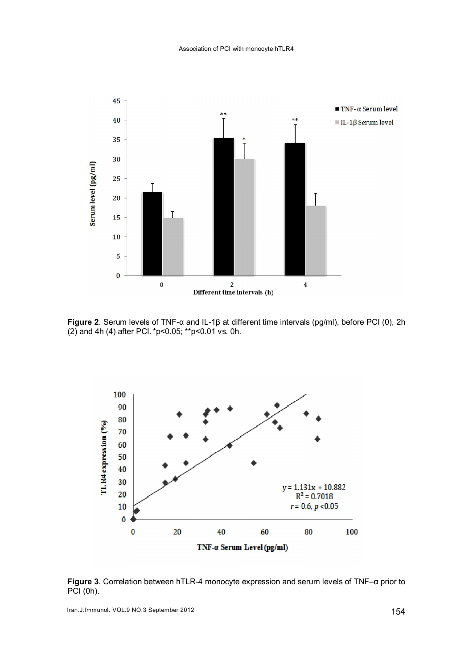

Figure 2. Serum levels of TNF-α and IL-1β at different time intervals (pg/ml), before PCI (0), 2h (2) and 4h (4) after PCI.\*p<0.05; \*\*p<0.01 vs. 0h.



Figure 3. Correlation between hTLR-4 monocyte expression and serum levels of TNF–α prior to PCI (0h).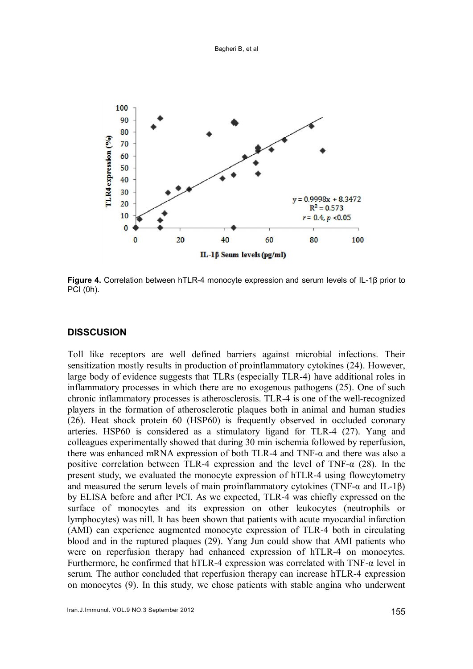

Figure 4. Correlation between hTLR-4 monocyte expression and serum levels of IL-1β prior to PCI (0h).

#### **DISSCUSION**

Toll like receptors are well defined barriers against microbial infections. Their sensitization mostly results in production of proinflammatory cytokines (24). However, large body of evidence suggests that TLRs (especially TLR-4) have additional roles in inflammatory processes in which there are no exogenous pathogens (25). One of such chronic inflammatory processes is atherosclerosis. TLR-4 is one of the well-recognized players in the formation of atherosclerotic plaques both in animal and human studies (26). Heat shock protein 60 (HSP60) is frequently observed in occluded coronary arteries. HSP60 is considered as a stimulatory ligand for TLR-4 (27). Yang and colleagues experimentally showed that during 30 min ischemia followed by reperfusion, there was enhanced mRNA expression of both TLR-4 and TNF-α and there was also a positive correlation between TLR-4 expression and the level of TNF- $\alpha$  (28). In the present study, we evaluated the monocyte expression of hTLR-4 using flowcytometry and measured the serum levels of main proinflammatory cytokines (TNF- $\alpha$  and IL-1 $\beta$ ) by ELISA before and after PCI. As we expected, TLR-4 was chiefly expressed on the surface of monocytes and its expression on other leukocytes (neutrophils or lymphocytes) was nill. It has been shown that patients with acute myocardial infarction (AMI) can experience augmented monocyte expression of TLR-4 both in circulating blood and in the ruptured plaques (29). Yang Jun could show that AMI patients who were on reperfusion therapy had enhanced expression of hTLR-4 on monocytes. Furthermore, he confirmed that hTLR-4 expression was correlated with  $TNF-\alpha$  level in serum. The author concluded that reperfusion therapy can increase hTLR-4 expression on monocytes (9). In this study, we chose patients with stable angina who underwent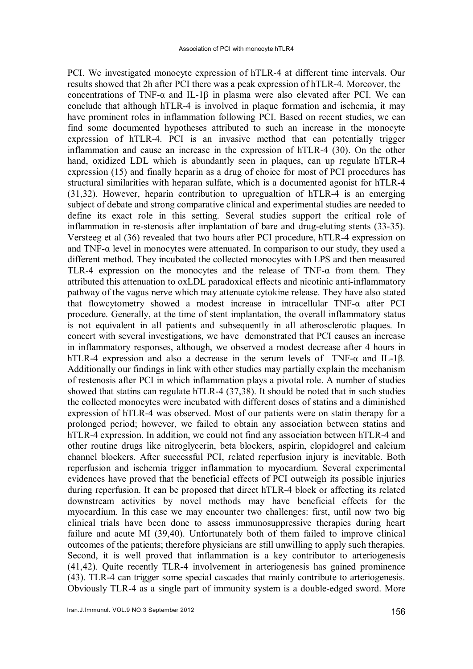PCI. We investigated monocyte expression of hTLR-4 at different time intervals. Our results showed that 2h after PCI there was a peak expression of hTLR-4. Moreover, the concentrations of TNF- $\alpha$  and IL-1 $\beta$  in plasma were also elevated after PCI. We can conclude that although hTLR-4 is involved in plaque formation and ischemia, it may have prominent roles in inflammation following PCI. Based on recent studies, we can find some documented hypotheses attributed to such an increase in the monocyte expression of hTLR-4. PCI is an invasive method that can potentially trigger inflammation and cause an increase in the expression of hTLR-4 (30). On the other hand, oxidized LDL which is abundantly seen in plaques, can up regulate hTLR-4 expression (15) and finally heparin as a drug of choice for most of PCI procedures has structural similarities with heparan sulfate, which is a documented agonist for hTLR-4 (31,32). However, heparin contribution to upregualtion of hTLR-4 is an emerging subject of debate and strong comparative clinical and experimental studies are needed to define its exact role in this setting. Several studies support the critical role of inflammation in re-stenosis after implantation of bare and drug-eluting stents (33-35). Versteeg et al (36) revealed that two hours after PCI procedure, hTLR-4 expression on and TNF- $\alpha$  level in monocytes were attenuated. In comparison to our study, they used a different method. They incubated the collected monocytes with LPS and then measured TLR-4 expression on the monocytes and the release of TNF- $\alpha$  from them. They attributed this attenuation to oxLDL paradoxical effects and nicotinic anti-inflammatory pathway of the vagus nerve which may attenuate cytokine release. They have also stated that flowcytometry showed a modest increase in intracellular TNF-α after PCI procedure. Generally, at the time of stent implantation, the overall inflammatory status is not equivalent in all patients and subsequently in all atherosclerotic plaques. In concert with several investigations, we have demonstrated that PCI causes an increase in inflammatory responses, although, we observed a modest decrease after 4 hours in hTLR-4 expression and also a decrease in the serum levels of TNF-α and IL-1β. Additionally our findings in link with other studies may partially explain the mechanism of restenosis after PCI in which inflammation plays a pivotal role. A number of studies showed that statins can regulate hTLR-4 (37,38). It should be noted that in such studies the collected monocytes were incubated with different doses of statins and a diminished expression of hTLR-4 was observed. Most of our patients were on statin therapy for a prolonged period; however, we failed to obtain any association between statins and hTLR-4 expression. In addition, we could not find any association between hTLR-4 and other routine drugs like nitroglycerin, beta blockers, aspirin, clopidogrel and calcium channel blockers. After successful PCI, related reperfusion injury is inevitable. Both reperfusion and ischemia trigger inflammation to myocardium. Several experimental evidences have proved that the beneficial effects of PCI outweigh its possible injuries during reperfusion. It can be proposed that direct hTLR-4 block or affecting its related downstream activities by novel methods may have beneficial effects for the myocardium. In this case we may encounter two challenges: first, until now two big clinical trials have been done to assess immunosuppressive therapies during heart failure and acute MI (39,40). Unfortunately both of them failed to improve clinical outcomes of the patients; therefore physicians are still unwilling to apply such therapies. Second, it is well proved that inflammation is a key contributor to arteriogenesis (41,42). Quite recently TLR-4 involvement in arteriogenesis has gained prominence (43). TLR-4 can trigger some special cascades that mainly contribute to arteriogenesis. Obviously TLR-4 as a single part of immunity system is a double-edged sword. More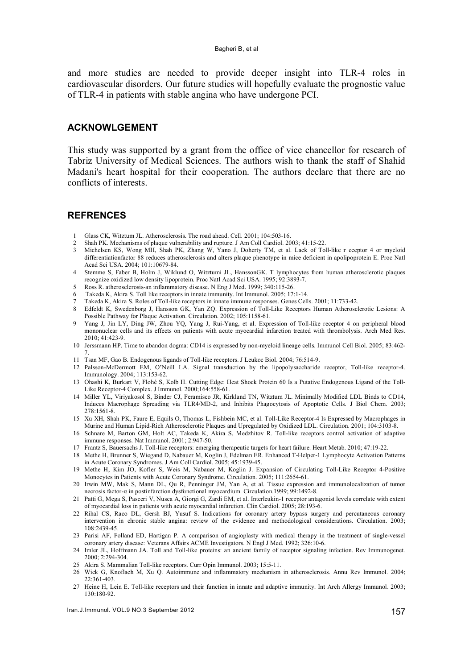#### Bagheri B, et al

and more studies are needed to provide deeper insight into TLR-4 roles in cardiovascular disorders. Our future studies will hopefully evaluate the prognostic value of TLR-4 in patients with stable angina who have undergone PCI.

## ACKNOWLGEMENT

This study was supported by a grant from the office of vice chancellor for research of Tabriz University of Medical Sciences. The authors wish to thank the staff of Shahid Madani's heart hospital for their cooperation. The authors declare that there are no conflicts of interests.

#### **REFRENCES**

- 1 Glass CK, Witztum JL. Atherosclerosis. The road ahead. Cell. 2001; 104:503-16.
- 2 Shah PK. Mechanisms of plaque vulnerability and rupture. J Am Coll Cardiol. 2003; 41:15-22.
- 3 Michelsen KS, Wong MH, Shah PK, Zhang W, Yano J, Doherty TM, et al. Lack of Toll-like r eceptor 4 or myeloid differentiationfactor 88 reduces atherosclerosis and alters plaque phenotype in mice deficient in apolipoprotein E. Proc Natl Acad Sci USA. 2004; 101:10679-84.
- 4 Stemme S, Faber B, Holm J, Wiklund O, Witztumi JL, HanssonGK. T lymphocytes from human atherosclerotic plaques recognize oxidized low density lipoprotein. Proc Natl Acad Sci USA. 1995; 92:3893-7.
- 5 Ross R. atherosclerosis-an inflammatory disease. N Eng J Med. 1999; 340:115-26.
- Takeda K, Akira S. Toll like receptors in innate immunity. Int Immunol. 2005; 17:1-14.
- 7 Takeda K, Akira S. Roles of Toll-like receptors in innate immune responses. Genes Cells. 2001; 11:733-42.
- 8 Edfeldt K, Swedenborg J, Hansson GK, Yan ZQ. Expression of Toll-Like Receptors Human Atherosclerotic Lesions: A Possible Pathway for Plaque Activation. Circulation. 2002; 105:1158-61.
- 9 Yang J, Jin LY, Ding JW, Zhou YQ, Yang J, Rui-Yang, et al. Expression of Toll-like receptor 4 on peripheral blood mononuclear cells and its effects on patients with acute myocardial infarction treated with thrombolysis. Arch Med Res.  $2010 \cdot 41.423 - 9$
- 10 Jerssmann HP. Time to abandon dogma: CD14 is expressed by non-myeloid lineage cells. Immunol Cell Biol. 2005; 83:462- 7.
- 11 Tsan MF, Gao B. Endogenous ligands of Toll-like receptors. J Leukoc Biol. 2004; 76:514-9.
- 12 Palsson-McDermott EM, O'Neill LA. Signal transduction by the lipopolysaccharide receptor, Toll-like receptor-4. Immunology. 2004; 113:153-62.
- 13 Ohashi K, Burkart V, Flohé S, Kolb H. Cutting Edge: Heat Shock Protein 60 Is a Putative Endogenous Ligand of the Toll-Like Receptor-4 Complex. J Immunol. 2000;164:558-61.
- 14 Miller YL, Viriyakosol S, Binder CJ, Feramisco JR, Kirkland TN, Witztum JL. Minimally Modified LDL Binds to CD14, Induces Macrophage Spreading via TLR4/MD-2, and Inhibits Phagocytosis of Apoptotic Cells. J Biol Chem. 2003; 278:1561-8.
- 15 Xu XH, Shah PK, Faure E, Equils O, Thomas L, Fishbein MC, et al. Toll-Like Receptor-4 Is Expressed by Macrophages in Murine and Human Lipid-Rich Atherosclerotic Plaques and Upregulated by Oxidized LDL. Circulation. 2001; 104:3103-8.
- 16 Schnare M, Barton GM, Holt AC, Takeda K, Akira S, Medzhitov R. Toll-like receptors control activation of adaptive immune responses. Nat Immunol. 2001; 2:947-50.
- 17 Frantz S, Bauersachs J. Toll-like receptors: emerging therapeutic targets for heart failure. Heart Metab. 2010; 47:19-22.
- 18 Methe H, Brunner S, Wiegand D, Nabauer M, Koglin J, Edelman ER. Enhanced T-Helper-1 Lymphocyte Activation Patterns in Acute Coronary Syndromes. J Am Coll Cardiol. 2005; 45:1939-45.
- 19 Methe H, Kim JO, Kofler S, Weis M, Nabauer M, Koglin J. Expansion of Circulating Toll-Like Receptor 4-Positive Monocytes in Patients with Acute Coronary Syndrome. Circulation. 2005; 111:2654-61.
- 20 Irwin MW, Mak S, Mann DL, Qu R, Penninger JM, Yan A, et al. Tissue expression and immunolocalization of tumor necrosis factor-α in postinfarction dysfunctional myocardium. Circulation.1999; 99:1492-8.
- 21 Patti G, Mega S, Pasceri V, Nusca A, Giorgi G, Zardi EM, et al. Interleukin-1 receptor antagonist levels correlate with extent of myocardial loss in patients with acute myocardial infarction. Clin Cardiol. 2005; 28:193-6.
- 22 Rihal CS, Raco DL, Gersh BJ, Yusuf S. Indications for coronary artery bypass surgery and percutaneous coronary intervention in chronic stable angina: review of the evidence and methodological considerations. Circulation. 2003; 108:2439-45.
- 23 Parisi AF, Folland ED, Hartigan P. A comparison of angioplasty with medical therapy in the treatment of single-vessel coronary artery disease: Veterans Affairs ACME Investigators. N Engl J Med. 1992; 326:10-6.
- 24 Imler JL, Hoffmann JA. Toll and Toll-like proteins: an ancient family of receptor signaling infection. Rev Immunogenet. 2000; 2:294-304.
- 25 Akira S. Mammalian Toll-like receptors. Curr Opin Immunol. 2003; 15:5-11.
- 26 Wick G, Knoflach M, Xu Q. Autoimmune and inflammatory mechanism in atherosclerosis. Annu Rev Immunol. 2004; 22:361-403.
- 27 Heine H, Lein E. Toll-like receptors and their function in innate and adaptive immunity. Int Arch Allergy Immunol. 2003; 130:180-92.